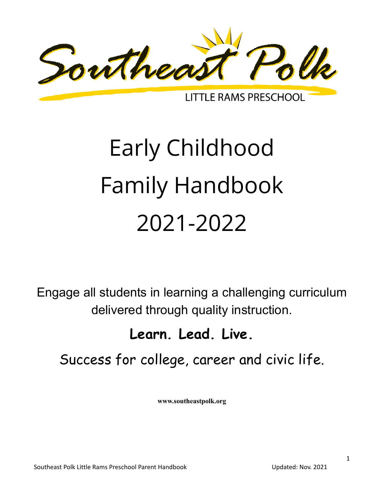

**LITTLE RAMS PRESCHOOL** 

# Early Childhood Family Handbook 2021-2022

Engage all students in learning a challenging curriculum delivered through quality instruction.

## **Learn. Lead. Live.**

## Success for college, career and civic life.

**www.southeastpolk.org**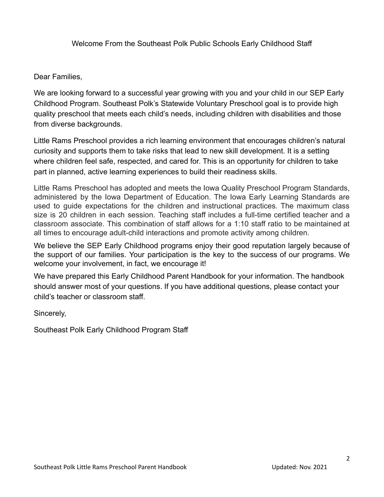Welcome From the Southeast Polk Public Schools Early Childhood Staff

Dear Families,

We are looking forward to a successful year growing with you and your child in our SEP Early Childhood Program. Southeast Polk's Statewide Voluntary Preschool goal is to provide high quality preschool that meets each child's needs, including children with disabilities and those from diverse backgrounds.

Little Rams Preschool provides a rich learning environment that encourages children's natural curiosity and supports them to take risks that lead to new skill development. It is a setting where children feel safe, respected, and cared for. This is an opportunity for children to take part in planned, active learning experiences to build their readiness skills.

Little Rams Preschool has adopted and meets the Iowa Quality Preschool Program Standards, administered by the Iowa Department of Education. The Iowa Early Learning Standards are used to guide expectations for the children and instructional practices. The maximum class size is 20 children in each session. Teaching staff includes a full-time certified teacher and a classroom associate. This combination of staff allows for a 1:10 staff ratio to be maintained at all times to encourage adult-child interactions and promote activity among children.

We believe the SEP Early Childhood programs enjoy their good reputation largely because of the support of our families. Your participation is the key to the success of our programs. We welcome your involvement, in fact, we encourage it!

We have prepared this Early Childhood Parent Handbook for your information. The handbook should answer most of your questions. If you have additional questions, please contact your child's teacher or classroom staff.

Sincerely,

Southeast Polk Early Childhood Program Staff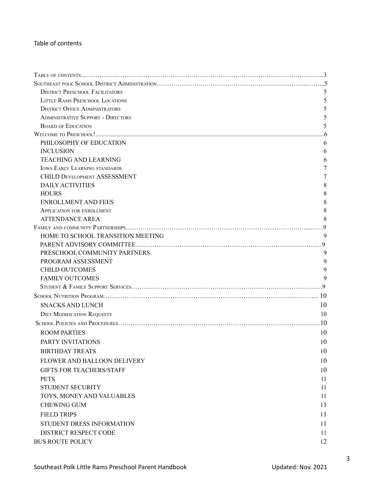#### Table of contents

| <b>DISTRICT PRESCHOOL FACILITATORS</b>    | 5      |
|-------------------------------------------|--------|
| <b>LITTLE RAMS PRESCHOOL LOCATIONS</b>    | 5      |
| <b>DISTRICT OFFICE ADMINISTRATORS</b>     | 5      |
| <b>ADMINISTRATIVE SUPPORT - DIRECTORS</b> | 5      |
| <b>BOARD OF EDUCATION</b>                 | 5      |
|                                           |        |
| PHILOSOPHY OF EDUCATION                   | 6      |
| <b>INCLUSION</b>                          | 6      |
| <b>TEACHING AND LEARNING</b>              | 6      |
| <b>IOWA EARLY LEARNING STANDARDS</b>      | 7      |
| <b>CHILD DEVELOPMENT ASSESSMENT</b>       | 7      |
| <b>DAILY ACTIVITIES</b>                   | 8      |
| <b>HOURS</b>                              | 8      |
| <b>ENROLLMENT AND FEES</b>                | 8      |
| <b>APPLICATION FOR ENROLLMENT</b>         | 8      |
| <b>ATTENDANCE AREA</b>                    | 8      |
|                                           |        |
| HOME TO SCHOOL TRANSITION MEETING         | 9      |
|                                           |        |
| PRESCHOOL COMMUNITY PARTNERS              | 9      |
| PROGRAM ASSESSMENT                        | 9      |
| <b>CHILD OUTCOMES</b>                     | 9<br>9 |
| <b>FAMILY OUTCOMES</b>                    |        |
|                                           |        |
|                                           |        |
| <b>SNACKS AND LUNCH</b>                   | 10     |
| <b>DIET MODIFICATION REQUESTS</b>         | 10     |
|                                           | .10    |
| <b>ROOM PARTIES</b>                       | 10     |
| PARTY INVITATIONS                         | 10     |
| <b>BIRTHDAY TREATS</b>                    | 10     |
| FLOWER AND BALLOON DELIVERY               | 10     |
| <b>GIFTS FOR TEACHERS/STAFF</b>           | 10     |
| <b>PETS</b>                               | 11     |
| STUDENT SECURITY                          | 11     |
| TOYS, MONEY AND VALUABLES                 | 11     |
| <b>CHEWING GUM</b>                        | 11     |
| <b>FIELD TRIPS</b>                        | 11     |
| STUDENT DRESS INFORMATION                 | 11     |
| DISTRICT RESPECT CODE                     | 11     |
| <b>BUS ROUTE POLICY</b>                   | 12     |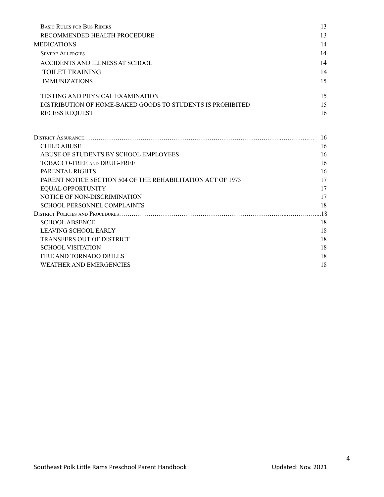| <b>BASIC RULES FOR BUS RIDERS</b>                           | 13  |
|-------------------------------------------------------------|-----|
| RECOMMENDED HEALTH PROCEDURE                                | 13  |
| <b>MEDICATIONS</b>                                          | 14  |
| <b>SEVERE ALLERGIES</b>                                     | 14  |
| ACCIDENTS AND ILLNESS AT SCHOOL                             | 14  |
| <b>TOILET TRAINING</b>                                      | 14  |
| <b>IMMUNIZATIONS</b>                                        | 15  |
| <b>TESTING AND PHYSICAL EXAMINATION</b>                     | 15  |
| DISTRIBUTION OF HOME-BAKED GOODS TO STUDENTS IS PROHIBITED  | 15  |
| <b>RECESS REQUEST</b>                                       | 16  |
|                                                             |     |
|                                                             | 16  |
| <b>CHILD ABUSE</b>                                          | 16  |
| ABUSE OF STUDENTS BY SCHOOL EMPLOYEES                       | 16  |
| TOBACCO-FREE AND DRUG-FREE                                  | 16  |
| PARENTAL RIGHTS                                             | 16  |
| PARENT NOTICE SECTION 504 OF THE REHABILITATION ACT OF 1973 | 17  |
| <b>EQUAL OPPORTUNITY</b>                                    | 17  |
| NOTICE OF NON-DISCRIMINATION                                | 17  |
| SCHOOL PERSONNEL COMPLAINTS                                 | 18  |
|                                                             | .18 |
| <b>SCHOOL ABSENCE</b>                                       | 18  |
| <b>LEAVING SCHOOL EARLY</b>                                 | 18  |
| <b>TRANSFERS OUT OF DISTRICT</b>                            | 18  |
| <b>SCHOOL VISITATION</b>                                    | 18  |
| FIRE AND TORNADO DRILLS                                     | 18  |
| <b>WEATHER AND EMERGENCIES</b>                              | 18  |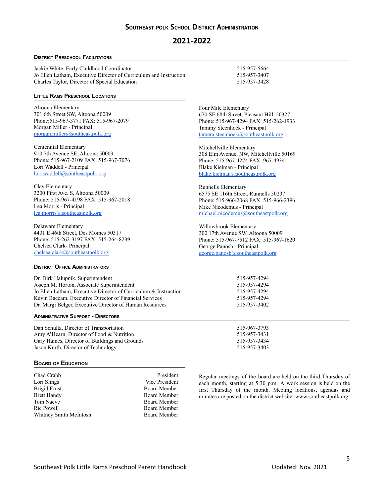#### **SOUTHEAST POLK SCHOOL DISTRICT ADMINISTRATION**

#### **2021-2022**

#### <span id="page-4-1"></span><span id="page-4-0"></span>**DISTRICT PRESCHOOL FACILITATORS**

Jackie White, Early Childhood Coordinator 515-957-5664 Jo Ellen Latham, Executive Director of Curriculum and Instruction 515-957-3407 Charles Taylor, Director of Special Education 515-957-3428

#### <span id="page-4-2"></span>**LITTLE RAMS PRESCHOOL LOCATIONS**

Altoona Elementary 301 6th Street SW, Altoona 50009 Phone:515-967-3771 FAX: 515-967-2079 Morgan Miller - Principal [morgan.miller@southeastpolk.org](mailto:morgan.miller@southeastpolk.org)

Centennial Elementary 910 7th Avenue SE, Altoona 50009 Phone: 515-967-2109 FAX: 515-967-7076 Lori Waddell - Principal [lori.waddell@southeastpolk.org](mailto:lori.waddell@southeastpolk.org)

Clay Elementary 3200 First Ave. S, Altoona 50009 Phone: 515-967-4198 FAX: 515-967-2018 Lea Morris - Principal [lea.morris@southeastpolk.org](mailto:lea.morris@southeastpolk.org)

Delaware Elementary 4401 E 46th Street, Des Moines 50317 Phone: 515-262-3197 FAX: 515-264-8239 Chelsea Clark- Principal [chelsea.clark@southeastpolk.org](mailto:chelsea.clark@southeastpolk.org)

Four Mile Elementary 670 SE 68th Street, Pleasant Hill 50327 Phone: 515-967-4294 FAX: 515-262-1933 Tammy Steenhoek - Principal [tamera.steenhoek@southeastpolk.org](mailto:tammy.steenhoek@southeastpolk.org)

Mitchellville Elementary 308 Elm Avenue, NW, Mitchellville 50169 Phone: 515-967-4274 FAX: 967-4934 Blake Kielman - Principal [blake.kielman@southeastpolk.org](mailto:blake.kielman@southeastpolk.org)

Runnells Elementary 6575 SE 116th Street, Runnells 50237 Phone: 515-966-2068 FAX: 515-966-2396 Mike Nicodemus - Principal [michael.nicodemus@southeastpolk.org](mailto:michael.nicodemus@southeastpolk.org)

Willowbrook Elementary 300 17th Avenue SW, Altoona 50009 Phone: 515-967-7512 FAX: 515-967-1620 George Panosh - Principal [george.panosh@southeastpolk.org](mailto:george.panosh@southeastpolk.org)

#### **DISTRICT OFFICE ADMINISTRATORS**

Dr. Dirk Halupnik, Superintendent 515-957-4294 Joseph M. Horton, Associate Superintendent 515-957-4294 Jo Ellen Latham, Executive Director of Curriculum & Instruction 515-957-4294 [Kevin Baccam](http://curriculum.southeastpolk.org/Public/EmailStaff.aspx?UserName=kevin.baccam@southeastpolk.org&name=Kevin%20Baccam&email=kevin.baccam@southeastpolk.org), Executive Director of Financial Services 515-957-4294 Dr. Margi Belger, Executive Director of Human Resources 515-957-3402

#### <span id="page-4-3"></span>**ADMINISTRATIVE SUPPORT - DIRECTORS**

Dan Schultz, Director of Transportation 515-967-3793 Amy A'Hearn, Director of Food & Nutrition 515-957-3431 Gary Haines, Director of Buildings and Grounds 515-957-3434 Jason Kurth, Director of Technology 515-957-3403

#### <span id="page-4-4"></span>**BOARD OF EDUCATION**

Chad Crabb President Lori Slings Vice President Brigid Ernst Board Member Brett Handy Board Member Tom Naeve Board Member Ric Powell Board Member Whitney Smith McIntosh Board Member

Regular meetings of the board are held on the third Thursday of each month, starting at 5:30 p.m. A work session is held on the first Thursday of the month. Meeting locations, agendas and minutes are posted on the district website, [www.southeastpolk.org](http://www.southeastpolk.org)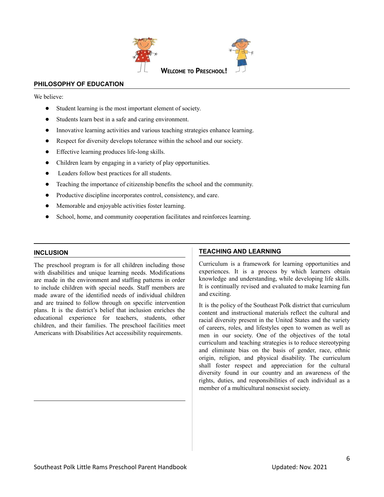

#### <span id="page-5-1"></span><span id="page-5-0"></span>**PHILOSOPHY OF EDUCATION**

We believe<sup>.</sup>

- Student learning is the most important element of society.
- Students learn best in a safe and caring environment.
- Innovative learning activities and various teaching strategies enhance learning.
- Respect for diversity develops tolerance within the school and our society.
- Effective learning produces life-long skills.
- Children learn by engaging in a variety of play opportunities.
- Leaders follow best practices for all students.
- Teaching the importance of citizenship benefits the school and the community.
- Productive discipline incorporates control, consistency, and care.
- Memorable and enjoyable activities foster learning.
- School, home, and community cooperation facilitates and reinforces learning.

#### <span id="page-5-2"></span>**INCLUSION**

The preschool program is for all children including those with disabilities and unique learning needs. Modifications are made in the environment and staffing patterns in order to include children with special needs. Staff members are made aware of the identified needs of individual children and are trained to follow through on specific intervention plans. It is the district's belief that inclusion enriches the educational experience for teachers, students, other children, and their families. The preschool facilities meet Americans with Disabilities Act accessibility requirements.

#### **TEACHING AND LEARNING**

Curriculum is a framework for learning opportunities and experiences. It is a process by which learners obtain knowledge and understanding, while developing life skills. It is continually revised and evaluated to make learning fun and exciting.

It is the policy of the Southeast Polk district that curriculum content and instructional materials reflect the cultural and racial diversity present in the United States and the variety of careers, roles, and lifestyles open to women as well as men in our society. One of the objectives of the total curriculum and teaching strategies is to reduce stereotyping and eliminate bias on the basis of gender, race, ethnic origin, religion, and physical disability. The curriculum shall foster respect and appreciation for the cultural diversity found in our country and an awareness of the rights, duties, and responsibilities of each individual as a member of a multicultural nonsexist society.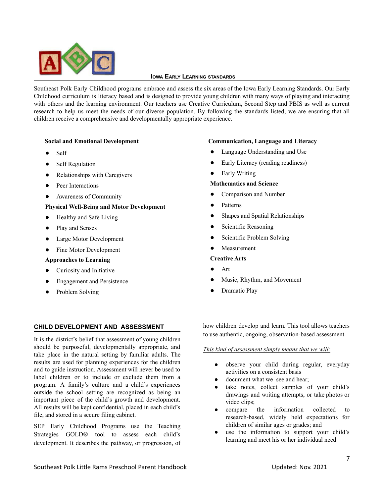<span id="page-6-0"></span>

#### **IOWA EARLY LEARNING STANDARDS**

Southeast Polk Early Childhood programs embrace and assess the six areas of the Iowa Early Learning Standards. Our Early Childhood curriculum is literacy based and is designed to provide young children with many ways of playing and interacting with others and the learning environment. Our teachers use Creative Curriculum, Second Step and PBIS as well as current research to help us meet the needs of our diverse population. By following the standards listed, we are ensuring that all children receive a comprehensive and developmentally appropriate experience.

#### **Social and Emotional Development**

- Self
- **Self Regulation**
- Relationships with Caregivers
- Peer Interactions
- Awareness of Community

#### **Physical Well-Being and Motor Development**

- Healthy and Safe Living
- Play and Senses
- Large Motor Development
- Fine Motor Development

#### **Approaches to Learning**

- Curiosity and Initiative
- **Engagement and Persistence**
- Problem Solving

#### **Communication, Language and Literacy**

- Language Understanding and Use
- Early Literacy (reading readiness)
- **Early Writing**

#### **Mathematics and Science**

- Comparison and Number
- Patterns
- Shapes and Spatial Relationships
- Scientific Reasoning
- Scientific Problem Solving
- Measurement

#### **Creative Arts**

- Art
- Music, Rhythm, and Movement
- Dramatic Play

#### <span id="page-6-1"></span>**CHILD DEVELOPMENT AND ASSESSMENT**

It is the district's belief that assessment of young children should be purposeful, developmentally appropriate, and take place in the natural setting by familiar adults. The results are used for planning experiences for the children and to guide instruction. Assessment will never be used to label children or to include or exclude them from a program. A family's culture and a child's experiences outside the school setting are recognized as being an important piece of the child's growth and development. All results will be kept confidential, placed in each child's file, and stored in a secure filing cabinet.

SEP Early Childhood Programs use the Teaching Strategies GOLD® tool to assess each child's development. It describes the pathway, or progression, of how children develop and learn. This tool allows teachers to use authentic, ongoing, observation-based assessment.

#### *This kind of assessment simply means that we will:*

- observe your child during regular, everyday activities on a consistent basis
- document what we see and hear;
- take notes, collect samples of your child's drawings and writing attempts, or take photos or video clips;
- compare the information collected to research-based, widely held expectations for children of similar ages or grades; and
- use the information to support your child's learning and meet his or her individual need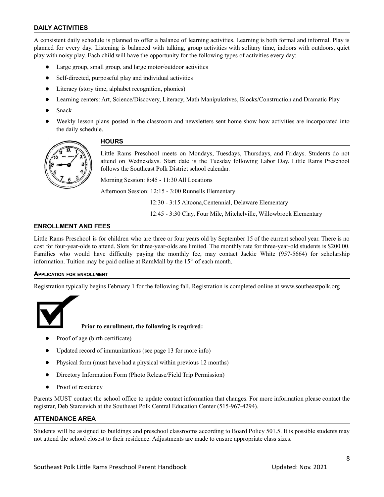#### **DAILY ACTIVITIES**

A consistent daily schedule is planned to offer a balance of learning activities. Learning is both formal and informal. Play is planned for every day. Listening is balanced with talking, group activities with solitary time, indoors with outdoors, quiet play with noisy play. Each child will have the opportunity for the following types of activities every day:

- Large group, small group, and large motor/outdoor activities
- Self-directed, purposeful play and individual activities
- Literacy (story time, alphabet recognition, phonics)
- Learning centers: Art, Science/Discovery, Literacy, Math Manipulatives, Blocks/Construction and Dramatic Play
- Snack
- Weekly lesson plans posted in the classroom and newsletters sent home show how activities are incorporated into the daily schedule.

<span id="page-7-0"></span>

#### **HOURS**

Little Rams Preschool meets on Mondays, Tuesdays, Thursdays, and Fridays. Students do not attend on Wednesdays. Start date is the Tuesday following Labor Day. Little Rams Preschool follows the Southeast Polk District school calendar.

Morning Session: 8:45 - 11:30 All Locations

Afternoon Session: 12:15 - 3:00 Runnells Elementary

12:30 - 3:15 Altoona,Centennial, Delaware Elementary

12:45 - 3:30 Clay, Four Mile, Mitchelville, Willowbrook Elementary

#### <span id="page-7-1"></span>**ENROLLMENT AND FEES**

Little Rams Preschool is for children who are three or four years old by September 15 of the current school year. There is no cost for four-year-olds to attend. Slots for three-year-olds are limited. The monthly rate for three-year-old students is \$200.00. Families who would have difficulty paying the monthly fee, may contact Jackie White (957-5664) for scholarship information. Tuition may be paid online at RamMall by the  $15<sup>th</sup>$  of each month.

#### **APPLICATION FOR ENROLLMENT**

Registration typically begins February 1 for the following fall. Registration is completed online at www.southeastpolk.org



#### **Prior to enrollment, the following is required:**

- Proof of age (birth certificate)
- Updated record of immunizations (see page 13 for more info)
- Physical form (must have had a physical within previous 12 months)
- Directory Information Form (Photo Release/Field Trip Permission)
- Proof of residency

Parents MUST contact the school office to update contact information that changes. For more information please contact the registrar, Deb Starcevich at the Southeast Polk Central Education Center (515-967-4294).

#### **ATTENDANCE AREA**

Students will be assigned to buildings and preschool classrooms according to Board Policy 501.5. It is possible students may not attend the school closest to their residence. Adjustments are made to ensure appropriate class sizes.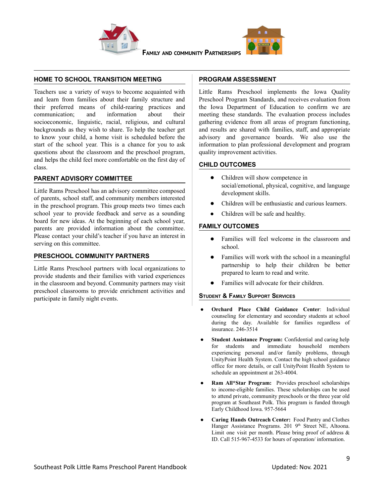



**FAMILY AND COMMUNITY PARTNERSHIPS**

#### <span id="page-8-1"></span><span id="page-8-0"></span>**HOME TO SCHOOL TRANSITION MEETING**

Teachers use a variety of ways to become acquainted with and learn from families about their family structure and their preferred means of child-rearing practices and communication; and information about their socioeconomic, linguistic, racial, religious, and cultural backgrounds as they wish to share. To help the teacher get to know your child, a home visit is scheduled before the start of the school year. This is a chance for you to ask questions about the classroom and the preschool program, and helps the child feel more comfortable on the first day of class.

#### <span id="page-8-2"></span>**PARENT ADVISORY COMMITTEE**

Little Rams Preschool has an advisory committee composed of parents, school staff, and community members interested in the preschool program. This group meets two times each school year to provide feedback and serve as a sounding board for new ideas. At the beginning of each school year, parents are provided information about the committee. Please contact your child's teacher if you have an interest in serving on this committee.

#### <span id="page-8-3"></span>**PRESCHOOL COMMUNITY PARTNERS**

Little Rams Preschool partners with local organizations to provide students and their families with varied experiences in the classroom and beyond. Community partners may visit preschool classrooms to provide enrichment activities and participate in family night events.

#### <span id="page-8-4"></span>**PROGRAM ASSESSMENT**

Little Rams Preschool implements the Iowa Quality Preschool Program Standards, and receives evaluation from the Iowa Department of Education to confirm we are meeting these standards. The evaluation process includes gathering evidence from all areas of program functioning, and results are shared with families, staff, and appropriate advisory and governance boards. We also use the information to plan professional development and program quality improvement activities.

#### <span id="page-8-5"></span>**CHILD OUTCOMES**

- Children will show competence in social/emotional, physical, cognitive, and language development skills.
- Children will be enthusiastic and curious learners.
- Children will be safe and healthy.

#### <span id="page-8-6"></span>**FAMILY OUTCOMES**

- Families will feel welcome in the classroom and school.
- Families will work with the school in a meaningful partnership to help their children be better prepared to learn to read and write.
- Families will advocate for their children.

#### **STUDENT & FAMILY SUPPORT SERVICES**

- **Orchard Place Child Guidance Center**: Individual counseling for elementary and secondary students at school during the day. Available for families regardless of insurance. 246-3514
- **Student Assistance Program:** Confidential and caring help for students and immediate household members experiencing personal and/or family problems, through UnityPoint Health System. Contact the high school guidance office for more details, or call UnityPoint Health System to schedule an appointment at 263-4004.
- **Ram All\*Star Program:** Provides preschool scholarships to income-eligible families. These scholarships can be used to attend private, community preschools or the three year old program at Southeast Polk. This program is funded through Early Childhood Iowa. 957-5664
- **Caring Hands Outreach Center:** Food Pantry and Clothes Hanger Assistance Programs. 201 9<sup>th</sup> Street NE, Altoona. Limit one visit per month. Please bring proof of address & ID. Call 515-967-4533 for hours of operation/ information.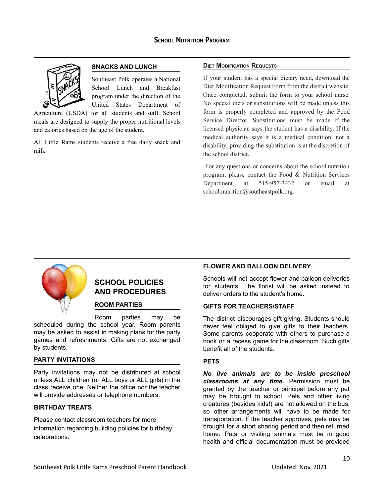<span id="page-9-1"></span><span id="page-9-0"></span>

#### **SNACKS AND LUNCH**

Southeast Polk operates a National School Lunch and Breakfast program under the direction of the United States Department of

Agriculture (USDA) for all students and staff. School meals are designed to supply the proper nutritional levels and calories based on the age of the student.

All Little Rams students receive a free daily snack and milk.

#### **DIET MODIFICATION REQUESTS**

If your student has a special dietary need, download the Diet Modification Request Form from the district website. Once completed, submit the form to your school nurse. No special diets or substitutions will be made unless this form is properly completed and approved by the Food Service Director. Substitutions must be made if the licensed physician says the student has a disability. If the medical authority says it is a medical condition, not a disability, providing the substitution is at the discretion of the school district.

For any questions or concerns about the school nutrition program, please contact the Food & Nutrition Services Department at 515-957-3432 or email at school.nutrition@southeastpolk.org.



#### **SCHOOL POLICIES AND PROCEDURES**

#### **ROOM PARTIES**

Room parties may be scheduled during the school year. Room parents may be asked to assist in making plans for the party games and refreshments. Gifts are not exchanged by students.

#### <span id="page-9-2"></span>**PARTY INVITATIONS**

Party invitations may not be distributed at school unless ALL children (or ALL boys or ALL girls) in the class receive one. Neither the office nor the teacher will provide addresses or telephone numbers.

#### <span id="page-9-3"></span>**BIRTHDAY TREATS**

Please contact classroom teachers for more information regarding building policies for birthday celebrations.

#### <span id="page-9-4"></span>**FLOWER AND BALLOON DELIVERY**

Schools will not accept flower and balloon deliveries for students. The florist will be asked instead to deliver orders to the student's home.

#### <span id="page-9-5"></span>**GIFTS FOR TEACHERS/STAFF**

The district discourages gift giving. Students should never feel obliged to give gifts to their teachers. Some parents cooperate with others to purchase a book or a recess game for the classroom. Such gifts benefit all of the students.

#### <span id="page-9-6"></span>**PETS**

*No live animals are to be inside preschool classrooms at any time.* Permission must be granted by the teacher or principal before any pet may be brought to school. Pets and other living creatures (besides kids!) are not allowed on the bus, so other arrangements will have to be made for transportation. If the teacher approves, pets may be brought for a short sharing period and then returned home. Pets or visiting animals must be in good health and official documentation must be provided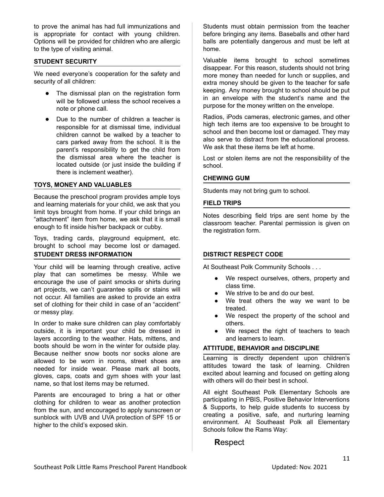to prove the animal has had full immunizations and is appropriate for contact with young children. Options will be provided for children who are allergic to the type of visiting animal.

#### <span id="page-10-0"></span>**STUDENT SECURITY**

We need everyone's cooperation for the safety and security of all children:

- The dismissal plan on the registration form will be followed unless the school receives a note or phone call.
- Due to the number of children a teacher is responsible for at dismissal time, individual children cannot be walked by a teacher to cars parked away from the school. It is the parent's responsibility to get the child from the dismissal area where the teacher is located outside (or just inside the building if there is inclement weather).

#### <span id="page-10-1"></span>**TOYS, MONEY AND VALUABLES**

Because the preschool program provides ample toys and learning materials for your child, we ask that you limit toys brought from home. If your child brings an "attachment" item from home, we ask that it is small enough to fit inside his/her backpack or cubby.

Toys, trading cards, playground equipment, etc. brought to school may become lost or damaged. **STUDENT DRESS INFORMATION**

Your child will be learning through creative, active play that can sometimes be messy. While we encourage the use of paint smocks or shirts during art projects, we can't guarantee spills or stains will not occur. All families are asked to provide an extra set of clothing for their child in case of an "accident" or messy play.

In order to make sure children can play comfortably outside, it is important your child be dressed in layers according to the weather. Hats, mittens, and boots should be worn in the winter for outside play. Because neither snow boots nor socks alone are allowed to be worn in rooms, street shoes are needed for inside wear. Please mark all boots, gloves, caps, coats and gym shoes with your last name, so that lost items may be returned.

Parents are encouraged to bring a hat or other clothing for children to wear as another protection from the sun, and encouraged to apply sunscreen or sunblock with UVB and UVA protection of SPF 15 or higher to the child's exposed skin.

Students must obtain permission from the teacher before bringing any items. Baseballs and other hard balls are potentially dangerous and must be left at home.

Valuable items brought to school sometimes disappear. For this reason, students should not bring more money than needed for lunch or supplies, and extra money should be given to the teacher for safe keeping. Any money brought to school should be put in an envelope with the student's name and the purpose for the money written on the envelope.

Radios, iPods cameras, electronic games, and other high tech items are too expensive to be brought to school and then become lost or damaged. They may also serve to distract from the educational process. We ask that these items be left at home.

Lost or stolen items are not the responsibility of the school.

#### **CHEWING GUM**

Students may not bring gum to school.

#### <span id="page-10-2"></span>**FIELD TRIPS**

Notes describing field trips are sent home by the classroom teacher. Parental permission is given on the registration form.

#### <span id="page-10-3"></span>**DISTRICT RESPECT CODE**

At Southeast Polk Community Schools . . .

- We respect ourselves, others, property and class time.
- We strive to be and do our best.
- We treat others the way we want to be treated.
- We respect the property of the school and others.
- We respect the right of teachers to teach and learners to learn.

#### **ATTITUDE, BEHAVIOR and DISCIPLINE**

Learning is directly dependent upon children's attitudes toward the task of learning. Children excited about learning and focused on getting along with others will do their best in school.

All eight Southeast Polk Elementary Schools are participating in PBIS, Positive Behavior Interventions & Supports, to help guide students to success by creating a positive, safe, and nurturing learning environment. At Southeast Polk all Elementary Schools follow the Rams Way:

#### **R**espect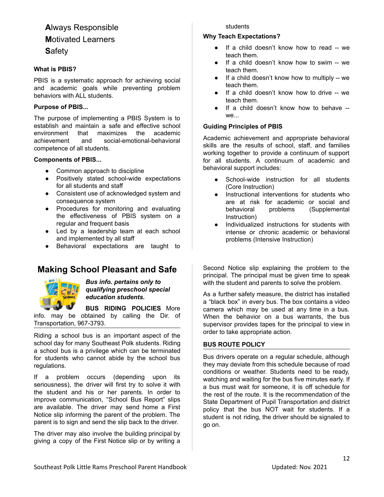## **A**lways Responsible **M**otivated Learners

**S**afety

#### **What is PBIS?**

PBIS is a systematic approach for achieving social and academic goals while preventing problem behaviors with ALL students.

#### **Purpose of PBIS...**

The purpose of implementing a PBIS System is to establish and maintain a safe and effective school environment that maximizes the academic achievement and social-emotional-behavioral competence of all students.

#### **Components of PBIS...**

- Common approach to discipline
- Positively stated school-wide expectations for all students and staff
- Consistent use of acknowledged system and consequence system
- Procedures for monitoring and evaluating the effectiveness of PBIS system on a regular and frequent basis
- Led by a leadership team at each school and implemented by all staff
- Behavioral expectations are taught to

### **Making School Pleasant and Safe**



*Bus info. pertains only to qualifying preschool special education students.*

**BUS RIDING POLICIES** More info. may be obtained by calling the Dir. of

Transportation, 967-3793.

Riding a school bus is an important aspect of the school day for many Southeast Polk students. Riding a school bus is a privilege which can be terminated for students who cannot abide by the school bus regulations.

If a problem occurs (depending upon its seriousness), the driver will first try to solve it with the student and his or her parents. In order to improve communication, "School Bus Report" slips are available. The driver may send home a First Notice slip informing the parent of the problem. The parent is to sign and send the slip back to the driver.

The driver may also involve the building principal by giving a copy of the First Notice slip or by writing a

#### students

#### **Why Teach Expectations?**

- If a child doesn't know how to read -- we teach them.
- If a child doesn't know how to swim -- we teach them.
- If a child doesn't know how to multiply  $-$  we teach them.
- If a child doesn't know how to drive -- we teach them.
- If a child doesn't know how to behave -we...

#### **Guiding Principles of PBIS**

Academic achievement and appropriate behavioral skills are the results of school, staff, and families working together to provide a continuum of support for all students. A continuum of academic and behavioral support includes:

- School-wide instruction for all students (Core Instruction)
- Instructional interventions for students who are at risk for academic or social and behavioral problems (Supplemental Instruction)
- Individualized instructions for students with intense or chronic academic or behavioral problems (Intensive Instruction)

Second Notice slip explaining the problem to the principal. The principal must be given time to speak with the student and parents to solve the problem.

As a further safety measure, the district has installed a "black box" in every bus. The box contains a video camera which may be used at any time in a bus. When the behavior on a bus warrants, the bus supervisor provides tapes for the principal to view in order to take appropriate action.

#### <span id="page-11-0"></span>**BUS ROUTE POLICY**

Bus drivers operate on a regular schedule, although they may deviate from this schedule because of road conditions or weather. Students need to be ready, watching and waiting for the bus five minutes early. If a bus must wait for someone, it is off schedule for the rest of the route. It is the recommendation of the State Department of Pupil Transportation and district policy that the bus NOT wait for students. If a student is not riding, the driver should be signaled to go on.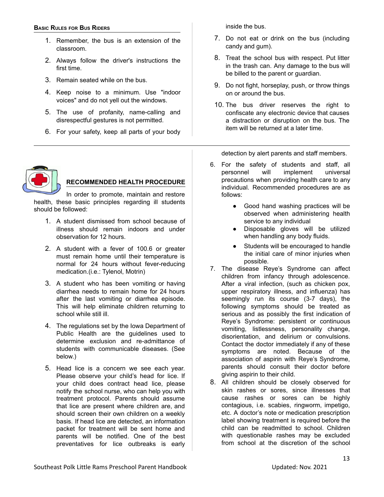#### <span id="page-12-0"></span>**BASIC RULES FOR BUS RIDERS**

- 1. Remember, the bus is an extension of the classroom.
- 2. Always follow the driver's instructions the first time.
- 3. Remain seated while on the bus.
- 4. Keep noise to a minimum. Use "indoor voices" and do not yell out the windows.
- 5. The use of profanity, name-calling and disrespectful gestures is not permitted.
- 6. For your safety, keep all parts of your body



#### **RECOMMENDED HEALTH PROCEDURE**

In order to promote, maintain and restore health, these basic principles regarding ill students should be followed:

- 1. A student dismissed from school because of illness should remain indoors and under observation for 12 hours.
- 2. A student with a fever of 100.6 or greater must remain home until their temperature is normal for 24 hours without fever-reducing medication.(i.e.: Tylenol, Motrin)
- 3. A student who has been vomiting or having diarrhea needs to remain home for 24 hours after the last vomiting or diarrhea episode. This will help eliminate children returning to school while still ill.
- 4. The regulations set by the Iowa Department of Public Health are the guidelines used to determine exclusion and re-admittance of students with communicable diseases. (See below.)
- 5. Head lice is a concern we see each year. Please observe your child's head for lice. If your child does contract head lice, please notify the school nurse, who can help you with treatment protocol. Parents should assume that lice are present where children are, and should screen their own children on a weekly basis. If head lice are detected, an information packet for treatment will be sent home and parents will be notified. One of the best preventatives for lice outbreaks is early

inside the bus.

- 7. Do not eat or drink on the bus (including candy and gum).
- 8. Treat the school bus with respect. Put litter in the trash can. Any damage to the bus will be billed to the parent or guardian.
- 9. Do not fight, horseplay, push, or throw things on or around the bus.
- 10. The bus driver reserves the right to confiscate any electronic device that causes a distraction or disruption on the bus. The item will be returned at a later time.

detection by alert parents and staff members.

- 6. For the safety of students and staff, all personnel will implement universal precautions when providing health care to any individual. Recommended procedures are as follows:
	- Good hand washing practices will be observed when administering health service to any individual
	- Disposable gloves will be utilized when handling any body fluids.
	- Students will be encouraged to handle the initial care of minor injuries when possible.
- 7. The disease Reye's Syndrome can affect children from infancy through adolescence. After a viral infection, (such as chicken pox, upper respiratory illness, and influenza) has seemingly run its course (3-7 days), the following symptoms should be treated as serious and as possibly the first indication of Reye's Syndrome: persistent or continuous vomiting, listlessness, personality change, disorientation, and delirium or convulsions. Contact the doctor immediately if any of these symptoms are noted. Because of the association of aspirin with Reye's Syndrome, parents should consult their doctor before giving aspirin to their child.
- 8. All children should be closely observed for skin rashes or sores, since illnesses that cause rashes or sores can be highly contagious, i.e. scabies, ringworm, impetigo, etc. A doctor's note or medication prescription label showing treatment is required before the child can be readmitted to school. Children with questionable rashes may be excluded from school at the discretion of the school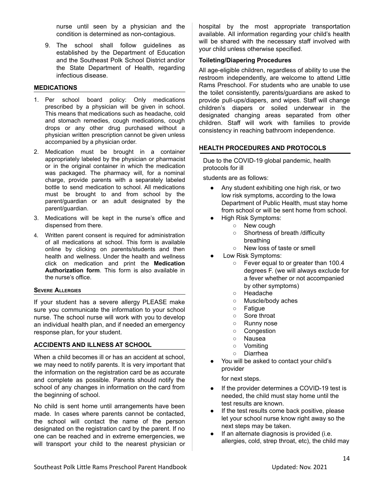nurse until seen by a physician and the condition is determined as non-contagious.

9. The school shall follow guidelines as established by the Department of Education and the Southeast Polk School District and/or the State Department of Health, regarding infectious disease.

#### <span id="page-13-0"></span>**MEDICATIONS**

- 1. Per school board policy: Only medications prescribed by a physician will be given in school. This means that medications such as headache, cold and stomach remedies, cough medications, cough drops or any other drug purchased without a physician written prescription cannot be given unless accompanied by a physician order.
- 2. Medication must be brought in a container appropriately labeled by the physician or pharmacist or in the original container in which the medication was packaged. The pharmacy will, for a nominal charge, provide parents with a separately labeled bottle to send medication to school. All medications must be brought to and from school by the parent/guardian or an adult designated by the parent/guardian.
- 3. Medications will be kept in the nurse's office and dispensed from there.
- 4. Written parent consent is required for administration of all medications at school. This form is available online by clicking on parents/students and then health and wellness. Under the health and wellness click on medication and print the **Medication Authorization form**. This form is also available in the nurse's office.

#### <span id="page-13-1"></span>**SEVERE ALLERGIES**

If your student has a severe allergy PLEASE make sure you communicate the information to your school nurse. The school nurse will work with you to develop an individual health plan, and if needed an emergency response plan, for your student.

#### <span id="page-13-2"></span>**ACCIDENTS AND ILLNESS AT SCHOOL**

When a child becomes ill or has an accident at school, we may need to notify parents. It is very important that the information on the registration card be as accurate and complete as possible. Parents should notify the school of any changes in information on the card from the beginning of school.

No child is sent home until arrangements have been made. In cases where parents cannot be contacted, the school will contact the name of the person designated on the registration card by the parent. If no one can be reached and in extreme emergencies, we will transport your child to the nearest physician or hospital by the most appropriate transportation available. All information regarding your child's health will be shared with the necessary staff involved with your child unless otherwise specified.

#### **Toileting/Diapering Procedures**

All age-eligible children, regardless of ability to use the restroom independently, are welcome to attend Little Rams Preschool. For students who are unable to use the toilet consistently, parents/guardians are asked to provide pull-ups/diapers, and wipes. Staff will change children's diapers or soiled underwear in the designated changing areas separated from other children. Staff will work with families to provide consistency in reaching bathroom independence.

#### **HEALTH PROCEDURES AND PROTOCOLS**

Due to the COVID-19 global pandemic, health protocols for ill

students are as follows:

- Any student exhibiting one high risk, or two low risk symptoms, according to the Iowa Department of Public Health, must stay home from school or will be sent home from school.
- High Risk Symptoms:
	- New cough
		- Shortness of breath /difficulty breathing
		- New loss of taste or smell
- Low Risk Symptoms:
	- Fever equal to or greater than 100.4 degrees F. (we will always exclude for a fever whether or not accompanied by other symptoms)
	- Headache
	- Muscle/body aches
	- Fatigue
	- Sore throat
	- Runny nose
	- Congestion
	- Nausea
	- Vomiting
	- Diarrhea
- You will be asked to contact your child's provider

for next steps.

- If the provider determines a COVID-19 test is needed, the child must stay home until the test results are known.
- If the test results come back positive, please let your school nurse know right away so the next steps may be taken.
- If an alternate diagnosis is provided (i.e. allergies, cold, strep throat, etc), the child may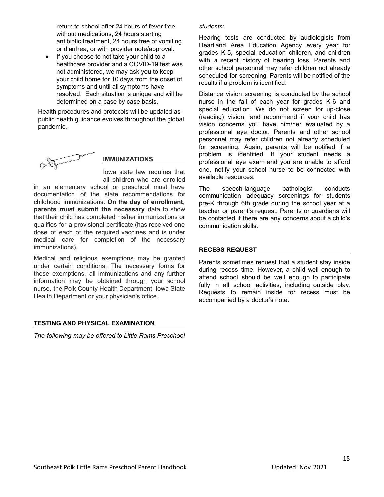return to school after 24 hours of fever free without medications, 24 hours starting antibiotic treatment, 24 hours free of vomiting or diarrhea, or with provider note/approval.

● If you choose to not take your child to a healthcare provider and a COVID-19 test was not administered, we may ask you to keep your child home for 10 days from the onset of symptoms and until all symptoms have resolved. Each situation is unique and will be determined on a case by case basis.

Health procedures and protocols will be updated as public health guidance evolves throughout the global pandemic.



#### **IMMUNIZATIONS**

Iowa state law requires that all children who are enrolled

in an elementary school or preschool must have documentation of the state recommendations for childhood immunizations: **On the day of enrollment, parents must submit the necessary** data to show that their child has completed his/her immunizations or qualifies for a provisional certificate (has received one dose of each of the required vaccines and is under medical care for completion of the necessary immunizations).

Medical and religious exemptions may be granted under certain conditions. The necessary forms for these exemptions, all immunizations and any further information may be obtained through your school nurse, the Polk County Health Department, Iowa State Health Department or your physician's office.

#### **TESTING AND PHYSICAL EXAMINATION**

*The following may be offered to Little Rams Preschool*

#### *students:*

Hearing tests are conducted by audiologists from Heartland Area Education Agency every year for grades K-5, special education children, and children with a recent history of hearing loss. Parents and other school personnel may refer children not already scheduled for screening. Parents will be notified of the results if a problem is identified.

Distance vision screening is conducted by the school nurse in the fall of each year for grades K-6 and special education. We do not screen for up-close (reading) vision, and recommend if your child has vision concerns you have him/her evaluated by a professional eye doctor. Parents and other school personnel may refer children not already scheduled for screening. Again, parents will be notified if a problem is identified. If your student needs a professional eye exam and you are unable to afford one, notify your school nurse to be connected with available resources.

The speech-language pathologist conducts communication adequacy screenings for students pre-K through 6th grade during the school year at a teacher or parent's request. Parents or guardians will be contacted if there are any concerns about a child's communication skills.

#### <span id="page-14-0"></span>**RECESS REQUEST**

Parents sometimes request that a student stay inside during recess time. However, a child well enough to attend school should be well enough to participate fully in all school activities, including outside play. Requests to remain inside for recess must be accompanied by a doctor's note.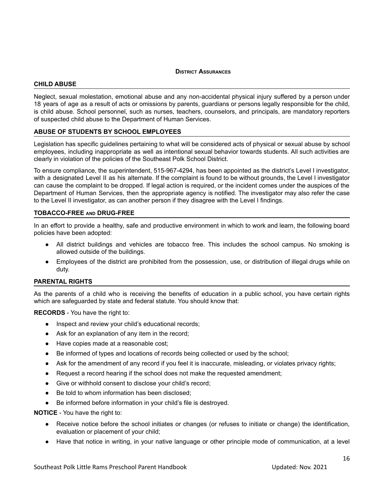#### **DISTRICT ASSURANCES**

#### <span id="page-15-0"></span>**CHILD ABUSE**

Neglect, sexual molestation, emotional abuse and any non-accidental physical injury suffered by a person under 18 years of age as a result of acts or omissions by parents, guardians or persons legally responsible for the child, is child abuse. School personnel, such as nurses, teachers, counselors, and principals, are mandatory reporters of suspected child abuse to the Department of Human Services.

#### <span id="page-15-1"></span>**ABUSE OF STUDENTS BY SCHOOL EMPLOYEES**

Legislation has specific guidelines pertaining to what will be considered acts of physical or sexual abuse by school employees, including inappropriate as well as intentional sexual behavior towards students. All such activities are clearly in violation of the policies of the Southeast Polk School District.

To ensure compliance, the superintendent, 515-967-4294, has been appointed as the district's Level I investigator, with a designated Level II as his alternate. If the complaint is found to be without grounds, the Level I investigator can cause the complaint to be dropped. If legal action is required, or the incident comes under the auspices of the Department of Human Services, then the appropriate agency is notified. The investigator may also refer the case to the Level II investigator, as can another person if they disagree with the Level I findings.

#### <span id="page-15-2"></span>**TOBACCO-FREE AND DRUG-FREE**

In an effort to provide a healthy, safe and productive environment in which to work and learn, the following board policies have been adopted:

- All district buildings and vehicles are tobacco free. This includes the school campus. No smoking is allowed outside of the buildings.
- Employees of the district are prohibited from the possession, use, or distribution of illegal drugs while on duty.

#### <span id="page-15-3"></span>**PARENTAL RIGHTS**

As the parents of a child who is receiving the benefits of education in a public school, you have certain rights which are safeguarded by state and federal statute. You should know that:

**RECORDS** - You have the right to:

- Inspect and review your child's educational records;
- Ask for an explanation of any item in the record;
- Have copies made at a reasonable cost;
- Be informed of types and locations of records being collected or used by the school;
- Ask for the amendment of any record if you feel it is inaccurate, misleading, or violates privacy rights;
- Request a record hearing if the school does not make the requested amendment;
- Give or withhold consent to disclose your child's record;
- Be told to whom information has been disclosed;
- Be informed before information in your child's file is destroyed.

**NOTICE** - You have the right to:

- Receive notice before the school initiates or changes (or refuses to initiate or change) the identification, evaluation or placement of your child;
- Have that notice in writing, in your native language or other principle mode of communication, at a level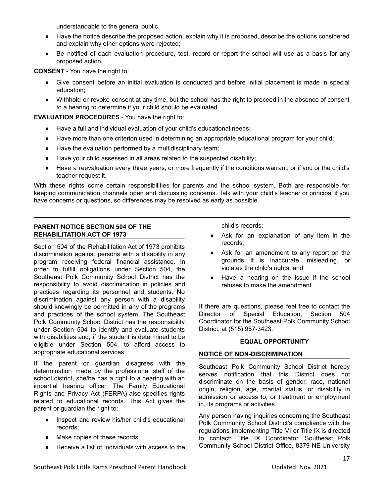understandable to the general public.

- Have the notice describe the proposed action, explain why it is proposed, describe the options considered and explain why other options were rejected;
- Be notified of each evaluation procedure, test, record or report the school will use as a basis for any proposed action.

**CONSENT** - You have the right to:

- Give consent before an initial evaluation is conducted and before initial placement is made in special education;
- Withhold or revoke consent at any time, but the school has the right to proceed in the absence of consent to a hearing to determine if your child should be evaluated.

**EVALUATION PROCEDURES** - You have the right to:

- Have a full and individual evaluation of your child's educational needs;
- Have more than one criterion used in determining an appropriate educational program for your child;
- Have the evaluation performed by a multidisciplinary team;
- Have your child assessed in all areas related to the suspected disability;
- Have a reevaluation every three years, or more frequently if the conditions warrant, or if you or the child's teacher request it.

With these rights come certain responsibilities for parents and the school system. Both are responsible for keeping communication channels open and discussing concerns. Talk with your child's teacher or principal if you have concerns or questions, so differences may be resolved as early as possible.

#### <span id="page-16-0"></span>**PARENT NOTICE SECTION 504 OF THE REHABILITATION ACT OF 1973**

Section 504 of the Rehabilitation Act of 1973 prohibits discrimination against persons with a disability in any program receiving federal financial assistance. In order to fulfill obligations under Section 504, the Southeast Polk Community School District has the responsibility to avoid discrimination in policies and practices regarding its personnel and students. No discrimination against any person with a disability should knowingly be permitted in any of the programs and practices of the school system. The Southeast Polk Community School District has the responsibility under Section 504 to identify and evaluate students with disabilities and, if the student is determined to be eligible under Section 504, to afford access to appropriate educational services.

If the parent or guardian disagrees with the determination made by the professional staff of the school district, she/he has a right to a hearing with an impartial hearing officer. The Family Educational Rights and Privacy Act (FERPA) also specifies rights related to educational records. This Act gives the parent or guardian the right to:

- Inspect and review his/her child's educational records;
- Make copies of these records;
- Receive a list of individuals with access to the

child's records;

- Ask for an explanation of any item in the records;
- Ask for an amendment to any report on the grounds it is inaccurate, misleading, or violates the child's rights; and
- Have a hearing on the issue if the school refuses to make the amendment.

If there are questions, please feel free to contact the Director of Special Education, Section 504 Coordinator for the Southeast Polk Community School District, at (515) 957-3423.

#### **EQUAL OPPORTUNITY**

#### <span id="page-16-2"></span><span id="page-16-1"></span>**NOTICE OF NON-DISCRIMINATION**

Southeast Polk Community School District hereby serves notification that this District does not discriminate on the basis of gender, race, national origin, religion, age, marital status, or disability in admission or access to, or treatment or employment in, its programs or activities.

Any person having inquiries concerning the Southeast Polk Community School District's compliance with the regulations implementing Title VI or Title IX is directed to contact: Title IX Coordinator, Southeast Polk Community School District Office, 8379 NE University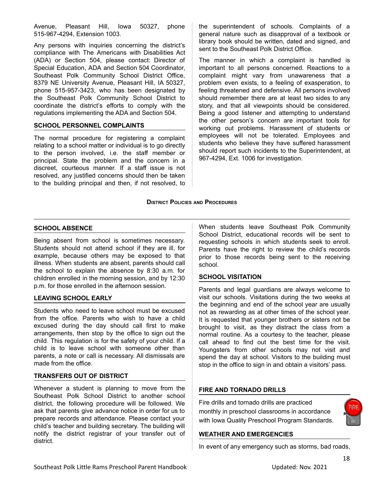Avenue, Pleasant Hill, Iowa 50327, phone 515-967-4294, Extension 1003.

Any persons with inquiries concerning the district's compliance with The Americans with Disabilities Act (ADA) or Section 504, please contact: Director of Special Education, ADA and Section 504 Coordinator, Southeast Polk Community School District Office, 8379 NE University Avenue, Pleasant Hill, IA 50327, phone 515-957-3423, who has been designated by the Southeast Polk Community School District to coordinate the district's efforts to comply with the regulations implementing the ADA and Section 504.

#### <span id="page-17-0"></span>**SCHOOL PERSONNEL COMPLAINTS**

The normal procedure for registering a complaint relating to a school matter or individual is to go directly to the person involved, i.e. the staff member or principal. State the problem and the concern in a discreet, courteous manner. If a staff issue is not resolved, any justified concerns should then be taken to the building principal and then, if not resolved, to the superintendent of schools. Complaints of a general nature such as disapproval of a textbook or library book should be written, dated and signed, and sent to the Southeast Polk District Office.

The manner in which a complaint is handled is important to all persons concerned. Reactions to a complaint might vary from unawareness that a problem even exists, to a feeling of exasperation, to feeling threatened and defensive. All persons involved should remember there are at least two sides to any story, and that all viewpoints should be considered. Being a good listener and attempting to understand the other person's concern are important tools for working out problems. Harassment of students or employees will not be tolerated. Employees and students who believe they have suffered harassment should report such incidents to the Superintendent, at 967-4294, Ext. 1006 for investigation.

#### **DISTRICT POLICIES AND PROCEDURES**

#### <span id="page-17-2"></span><span id="page-17-1"></span>**SCHOOL ABSENCE**

Being absent from school is sometimes necessary. Students should not attend school if they are ill, for example, because others may be exposed to that illness. When students are absent, parents should call the school to explain the absence by 8:30 a.m. for children enrolled in the morning session, and by 12:30 p.m. for those enrolled in the afternoon session.

#### <span id="page-17-3"></span>**LEAVING SCHOOL EARLY**

Students who need to leave school must be excused from the office. Parents who wish to have a child excused during the day should call first to make arrangements, then stop by the office to sign out the child. This regulation is for the safety of your child. If a child is to leave school with someone other than parents, a note or call is necessary. All dismissals are made from the office.

#### <span id="page-17-4"></span>**TRANSFERS OUT OF DISTRICT**

Whenever a student is planning to move from the Southeast Polk School District to another school district, the following procedure will be followed. We ask that parents give advance notice in order for us to prepare records and attendance. Please contact your child's teacher and building secretary. The building will notify the district registrar of your transfer out of district.

When students leave Southeast Polk Community School District, educational records will be sent to requesting schools in which students seek to enroll. Parents have the right to review the child's records prior to those records being sent to the receiving school.

#### <span id="page-17-5"></span>**SCHOOL VISITATION**

Parents and legal guardians are always welcome to visit our schools. Visitations during the two weeks at the beginning and end of the school year are usually not as rewarding as at other times of the school year. It is requested that younger brothers or sisters not be brought to visit, as they distract the class from a normal routine. As a courtesy to the teacher, please call ahead to find out the best time for the visit. Youngsters from other schools may not visit and spend the day at school. Visitors to the building must stop in the office to sign in and obtain a visitors' pass.

#### <span id="page-17-6"></span>**FIRE AND TORNADO DRILLS**

Fire drills and tornado drills are practiced monthly in preschool classrooms in accordance with Iowa Quality Preschool Program Standards.

<span id="page-17-7"></span>

In event of any emergency such as storms, bad roads,